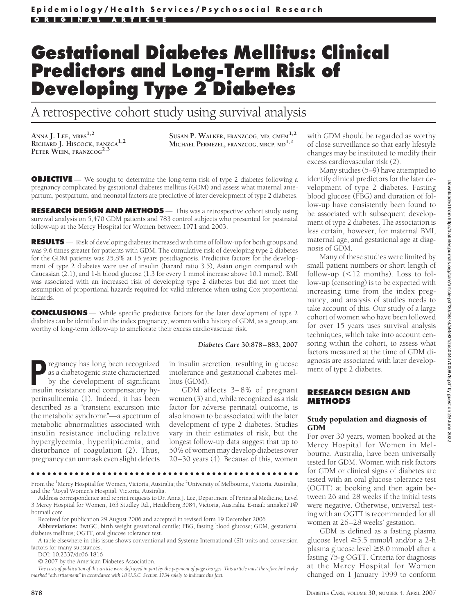# **Gestational Diabetes Mellitus: Clinical Predictors and Long-Term Risk of Developing Type 2 Diabetes**

A retrospective cohort study using survival analysis

**ANNA J. LEE, MBBS1,2 RICHARD J. HISCOCK, FANZCA1,2 PETER WEIN, FRANZCOG2,3**

**SUSAN P. WALKER, FRANZCOG, MD, CMFM1,2 MICHAEL PERMEZEL, FRANZCOG, MRCP, MD1,2**

**OBJECTIVE** — We sought to determine the long-term risk of type 2 diabetes following a pregnancy complicated by gestational diabetes mellitus (GDM) and assess what maternal antepartum, postpartum, and neonatal factors are predictive of later development of type 2 diabetes.

**RESEARCH DESIGN AND METHODS** — This was a retrospective cohort study using survival analysis on 5,470 GDM patients and 783 control subjects who presented for postnatal follow-up at the Mercy Hospital for Women between 1971 and 2003.

**RESULTS** — Risk of developing diabetes increased with time of follow-up for both groups and was 9.6 times greater for patients with GDM. The cumulative risk of developing type 2 diabetes for the GDM patients was 25.8% at 15 years postdiagnosis. Predictive factors for the development of type 2 diabetes were use of insulin (hazard ratio 3.5), Asian origin compared with Caucasian (2.1), and 1-h blood glucose (1.3 for every 1 mmol increase above 10.1 mmol). BMI was associated with an increased risk of developing type 2 diabetes but did not meet the assumption of proportional hazards required for valid inference when using Cox proportional hazards.

**CONCLUSIONS** — While specific predictive factors for the later development of type 2 diabetes can be identified in the index pregnancy, women with a history of GDM, as a group, are worthy of long-term follow-up to ameliorate their excess cardiovascular risk.

#### *Diabetes Care* **30:878 – 883, 2007**

**P**regnancy has long been recognized as a diabetogenic state characterized by the development of significant insulin resistance and compensatory hyperinsulinemia (1). Indeed, it has been described as a "transient excursion into the metabolic syndrome"—a spectrum of metabolic abnormalities associated with insulin resistance including relative hyperglycemia, hyperlipidemia, and disturbance of coagulation (2). Thus, pregnancy can unmask even slight defects

in insulin secretion, resulting in glucose intolerance and gestational diabetes mellitus (GDM).

GDM affects 3–8% of pregnant women (3) and, while recognized as a risk factor for adverse perinatal outcome, is also known to be associated with the later development of type 2 diabetes. Studies vary in their estimates of risk, but the longest follow-up data suggest that up to 50% of women may develop diabetes over 20–30 years (4). Because of this, women

●●●●●●●●●●●●●●●●●●●●●●●●●●●●●●●●●●●●●●●●●●●●●●●●●

From the <sup>1</sup>Mercy Hospital for Women, Victoria, Australia; the <sup>2</sup>University of Melbourne, Victoria, Australia; and the <sup>3</sup>Royal Women's Hospital, Victoria, Australia.

Address correspondence and reprint requests to Dr. Anna J. Lee, Department of Perinatal Medicine, Level 3 Mercy Hospital for Women, 163 Studley Rd., Heidelberg 3084, Victoria, Australia. E-mail: annalee71@ hotmail.com.

Received for publication 29 August 2006 and accepted in revised form 19 December 2006.

**Abbreviations:** BwtGC, birth weight gestational centile; FBG, fasting blood glucose; GDM, gestational diabetes mellitus; OGTT, oral glucose tolerance test.

A table elsewhere in this issue shows conventional and Système International (SI) units and conversion factors for many substances.

DOI: 10.2337/dc06-1816

© 2007 by the American Diabetes Association.

*The costs of publication of this article were defrayed in part by the payment of page charges. This article must therefore be hereby marked "advertisement" in accordance with 18 U.S.C. Section 1734 solely to indicate this fact.*

with GDM should be regarded as worthy of close surveillance so that early lifestyle changes may be instituted to modify their excess cardiovascular risk (2).

Many studies (5–9) have attempted to identify clinical predictors for the later development of type 2 diabetes. Fasting blood glucose (FBG) and duration of follow-up have consistently been found to be associated with subsequent development of type 2 diabetes. The association is less certain, however, for maternal BMI, maternal age, and gestational age at diagnosis of GDM.

Many of these studies were limited by small patient numbers or short length of follow-up  $(\leq 12$  months). Loss to follow-up (censoring) is to be expected with increasing time from the index pregnancy, and analysis of studies needs to take account of this. Our study of a large cohort of women who have been followed for over 15 years uses survival analysis techniques, which take into account censoring within the cohort, to assess what factors measured at the time of GDM diagnosis are associated with later development of type 2 diabetes.

## **RESEARCH DESIGN AND METHODS**

#### Study population and diagnosis of GDM

For over 30 years, women booked at the Mercy Hospital for Women in Melbourne, Australia, have been universally tested for GDM. Women with risk factors for GDM or clinical signs of diabetes are tested with an oral glucose tolerance test (OGTT) at booking and then again between 26 and 28 weeks if the initial tests were negative. Otherwise, universal testing with an OGTT is recommended for all women at 26–28 weeks' gestation.

GDM is defined as a fasting plasma glucose level  $\geq$ 5.5 mmol/l and/or a 2-h plasma glucose level ≥8.0 mmol/l after a fasting 75-g OGTT. Criteria for diagnosis at the Mercy Hospital for Women changed on 1 January 1999 to conform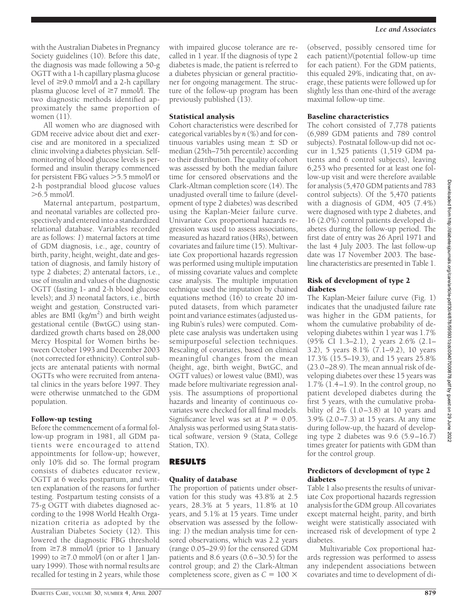All women who are diagnosed with GDM receive advice about diet and exercise and are monitored in a specialized clinic involving a diabetes physician. Selfmonitoring of blood glucose levels is performed and insulin therapy commenced for persistent FBG values  $>$  5.5 mmol/l or 2-h postprandial blood glucose values  $>$  6.5 mmol/l.

Maternal antepartum, postpartum, and neonatal variables are collected prospectively and entered into a standardized relational database. Variables recorded are as follows: *1*) maternal factors at time of GDM diagnosis, i.e., age, country of birth, parity, height, weight, date and gestation of diagnosis, and family history of type 2 diabetes; *2*) antenatal factors, i.e., use of insulin and values of the diagnostic OGTT (fasting 1- and 2-h blood glucose levels); and *3*) neonatal factors, i.e., birth weight and gestation. Constructed variables are BMI (kg/m<sup>2</sup>) and birth weight gestational centile (BwtGC) using standardized growth charts based on 28,000 Mercy Hospital for Women births between October 1993 and December 2003 (not corrected for ethnicity). Control subjects are antenatal patients with normal OGTTs who were recruited from antenatal clinics in the years before 1997. They were otherwise unmatched to the GDM population.

# Follow-up testing

Before the commencement of a formal follow-up program in 1981, all GDM patients were encouraged to attend appointments for follow-up; however, only 10% did so. The formal program consists of diabetes educator review, OGTT at 6 weeks postpartum, and written explanation of the reasons for further testing. Postpartum testing consists of a 75-g OGTT with diabetes diagnosed according to the 1998 World Health Organization criteria as adopted by the Australian Diabetes Society (12). This lowered the diagnostic FBG threshold from  $\geq 7.8$  mmol/l (prior to 1 January 1999) to  $\geq 7.0$  mmol/l (on or after 1 January 1999). Those with normal results are recalled for testing in 2 years, while those

# Statistical analysis

Cohort characteristics were described for categorical variables by *n* (%) and for continuous variables using mean  $\pm$  SD or median (25th–75th percentile) according to their distribution. The quality of cohort was assessed by both the median failure time for censored observations and the Clark-Altman completion score (14). The unadjusted overall time to failure (development of type 2 diabetes) was described using the Kaplan-Meier failure curve. Univariate Cox proportional hazards regression was used to assess associations, measured as hazard ratios (HRs), between covariates and failure time (15). Multivariate Cox proportional hazards regression was performed using multiple imputation of missing covariate values and complete case analysis. The multiple imputation technique used the imputation by chained equations method (16) to create 20 imputed datasets, from which parameter point and variance estimates (adjusted using Rubin's rules) were computed. Complete case analysis was undertaken using semipurposeful selection techniques. Rescaling of covariates, based on clinical meaningful changes from the mean (height, age, birth weight, BwtGC, and OGTT values) or lowest value (BMI), was made before multivariate regression analysis. The assumptions of proportional hazards and linearity of continuous covariates were checked for all final models. Significance level was set at  $P = 0.05$ . Analysis was performed using Stata statistical software, version 9 (Stata, College Station, TX).

# **RESULTS**

# Quality of database

The proportion of patients under observation for this study was 43.8% at 2.5 years, 28.3% at 5 years, 11.8% at 10 years, and 5.1% at 15 years. Time under observation was assessed by the following: *1*) the median analysis time for censored observations, which was 2.2 years (range 0.05–29.9) for the censored GDM patients and 8.6 years (0.6–30.5) for the control group; and *2*) the Clark-Altman completeness score, given as  $C = 100 \times$ 

(observed, possibly censored time for each patient)/(potential follow-up time for each patient). For the GDM patients, this equaled 29%, indicating that, on average, these patients were followed up for slightly less than one-third of the average maximal follow-up time.

# Baseline characteristics

The cohort consisted of 7,778 patients (6,989 GDM patients and 789 control subjects). Postnatal follow-up did not occur in 1,525 patients (1,519 GDM patients and 6 control subjects), leaving 6,253 who presented for at least one follow-up visit and were therefore available for analysis (5,470 GDM patients and 783 control subjects). Of the 5,470 patients with a diagnosis of GDM, 405 (7.4%) were diagnosed with type 2 diabetes, and 16 (2.0%) control patients developed diabetes during the follow-up period. The first date of entry was 26 April 1971 and the last 4 July 2003. The last follow-up date was 17 November 2003. The baseline characteristics are presented in Table 1.

# Risk of development of type 2 diabetes

The Kaplan-Meier failure curve (Fig. 1) indicates that the unadjusted failure rate was higher in the GDM patients, for whom the cumulative probability of developing diabetes within 1 year was 1.7% (95% CI 1.3–2.1), 2 years 2.6% (2.1– 3.2), 5 years 8.1% (7.1–9.2), 10 years 17.3% (15.5–19.3), and 15 years 25.8% (23.0–28.9). The mean annual risk of developing diabetes over these 15 years was  $1.7\%$   $(1.4-1.9)$ . In the control group, no patient developed diabetes during the first 5 years, with the cumulative probability of 2% (1.0–3.8) at 10 years and 3.9% (2.0–7.3) at 15 years. At any time during follow-up, the hazard of developing type 2 diabetes was 9.6 (5.9–16.7) times greater for patients with GDM than for the control group.

# Predictors of development of type 2 diabetes

Table 1 also presents the results of univariate Cox proportional hazards regression analysis for the GDM group. All covariates except maternal height, parity, and birth weight were statistically associated with increased risk of development of type 2 diabetes.

Multivariable Cox proportional hazards regression was performed to assess any independent associations between covariates and time to development of di-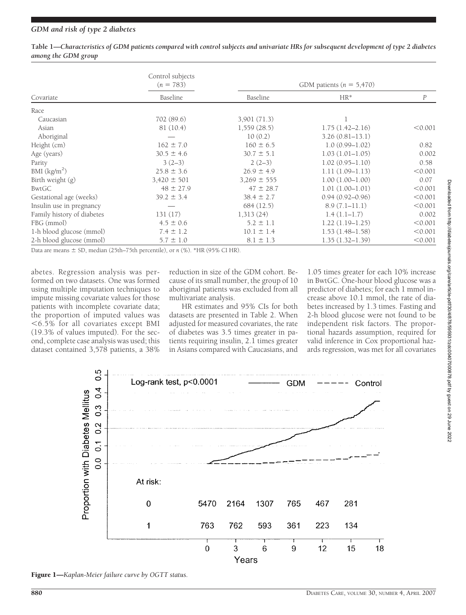# *GDM and risk of type 2 diabetes*

| Covariate                  | Control subjects<br>$(n = 783)$<br>Baseline    | GDM patients ( $n = 5,470$ ) |                     |          |
|----------------------------|------------------------------------------------|------------------------------|---------------------|----------|
|                            |                                                | Baseline                     | $HR*$               | $\cal P$ |
| Race                       |                                                |                              |                     |          |
| Caucasian                  | 702 (89.6)                                     | 3,901 (71.3)                 |                     |          |
| Asian                      | 81 (10.4)                                      | 1,559(28.5)                  | $1.75(1.42 - 2.16)$ | < 0.001  |
| Aboriginal                 |                                                | 10(0.2)                      | $3.26(0.81 - 13.1)$ |          |
| Height (cm)                | $162 \pm 7.0$                                  | $160 \pm 6.5$                | $1.0(0.99 - 1.02)$  | 0.82     |
| Age (years)                | $30.5 \pm 4.6$                                 | $30.7 \pm 5.1$               | $1.03(1.01-1.05)$   | 0.002    |
| Parity                     | $3(2-3)$                                       | $2(2-3)$                     | $1.02(0.95 - 1.10)$ | 0.58     |
| BMI (kg/m <sup>2</sup> )   | $25.8 \pm 3.6$                                 | $26.9 \pm 4.9$               | $1.11(1.09-1.13)$   | < 0.001  |
| Birth weight (g)           | $3,420 \pm 501$                                | $3,269 \pm 555$              | $1.00(1.00-1.00)$   | 0.07     |
| BwtGC                      | $48 \pm 27.9$                                  | $47 \pm 28.7$                | $1.01(1.00-1.01)$   | < 0.001  |
| Gestational age (weeks)    | $39.2 \pm 3.4$                                 | $38.4 \pm 2.7$               | $0.94(0.92 - 0.96)$ | < 0.001  |
| Insulin use in pregnancy   |                                                | 684 (12.5)                   | 8.9(7.1–11.1)       | < 0.001  |
| Family history of diabetes | 131(17)                                        | 1,313(24)                    | $1.4(1.1-1.7)$      | 0.002    |
| FBG (mmol)                 | $4.5 \pm 0.6$                                  | $5.2 \pm 1.1$                | $1.22(1.19-1.25)$   | < 0.001  |
| 1-h blood glucose (mmol)   | $7.4 \pm 1.2$                                  | $10.1 \pm 1.4$               | $1.53(1.48 - 1.58)$ | < 0.001  |
| 2-h blood glucose (mmol)   | $5.7 \pm 1.0$<br>$-1$<br>$(0)$ attp://w/ $(1)$ | $8.1 \pm 1.3$                | $1.35(1.32 - 1.39)$ | < 0.001  |

**Table 1—***Characteristics of GDM patients compared with control subjects and univariate HRs for subsequent development of type 2 diabetes among the GDM group*

Data are means  $\pm$  SD, median (25th–75th percentile), or *n* (%). \*HR (95% CI HR).

abetes. Regression analysis was performed on two datasets. One was formed using multiple imputation techniques to impute missing covariate values for those patients with incomplete covariate data; the proportion of imputed values was 6.5% for all covariates except BMI (19.3% of values imputed). For the second, complete case analysis was used; this dataset contained 3,578 patients, a 38%

reduction in size of the GDM cohort. Because of its small number, the group of 10 aboriginal patients was excluded from all multivariate analysis.

HR estimates and 95% CIs for both datasets are presented in Table 2. When adjusted for measured covariates, the rate of diabetes was 3.5 times greater in patients requiring insulin, 2.1 times greater in Asians compared with Caucasians, and

1.05 times greater for each 10% increase in BwtGC. One-hour blood glucose was a predictor of diabetes; for each 1 mmol increase above 10.1 mmol, the rate of diabetes increased by 1.3 times. Fasting and 2-h blood glucose were not found to be independent risk factors. The proportional hazards assumption, required for valid inference in Cox proportional hazards regression, was met for all covariates



Figure 1—*Kaplan-Meier failure curve by OGTT status.*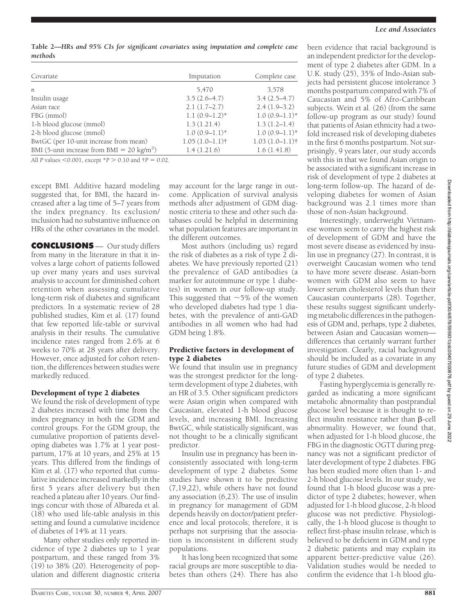been evidence that racial background is an independent predictor for the development of type 2 diabetes after GDM. In a U.K. study (25), 35% of Indo-Asian subjects had persistent glucose intolerance 3 months postpartum compared with 7% of Caucasian and 5% of Afro-Caribbean subjects. Wein et al. (26) (from the same follow-up program as our study) found that patients of Asian ethnicity had a twofold increased risk of developing diabetes in the first 6 months postpartum. Not surprisingly, 9 years later, our study accords with this in that we found Asian origin to be associated with a significant increase in risk of development of type 2 diabetes at long-term follow-up. The hazard of developing diabetes for women of Asian background was 2.1 times more than those of non-Asian background.

Interestingly, underweight Vietnamese women seem to carry the highest risk of development of GDM and have the most severe disease as evidenced by insulin use in pregnancy (27). In contrast, it is overweight Caucasian women who tend to have more severe disease. Asian-born women with GDM also seem to have lower serum cholesterol levels than their Caucasian counterparts (28). Together, these results suggest significant underlying metabolic differences in the pathogenesis of GDM and, perhaps, type 2 diabetes, between Asian and Caucasian women differences that certainly warrant further investigation. Clearly, racial background should be included as a covariate in any future studies of GDM and development of type 2 diabetes.

Fasting hyperglycemia is generally regarded as indicating a more significant metabolic abnormality than postprandial glucose level because it is thought to re $f$ lect insulin resistance rather than  $\beta$ -cell abnormality. However, we found that, when adjusted for 1-h blood glucose, the FBG in the diagnostic OGTT during pregnancy was not a significant predictor of later development of type 2 diabetes. FBG has been studied more often than 1- and 2-h blood glucose levels. In our study, we found that 1-h blood glucose was a predictor of type 2 diabetes; however, when adjusted for 1-h blood glucose, 2-h blood glucose was not predictive. Physiologically, the 1-h blood glucose is thought to reflect first-phase insulin release, which is believed to be deficient in GDM and type 2 diabetic patients and may explain its apparent better-predictive value (26). Validation studies would be needed to confirm the evidence that 1-h blood glu-

**Table 2—***HRs and 95% CIs for significant covariates using imputation and complete case methods*

| Covariate                                             | Imputation        | Complete case     |
|-------------------------------------------------------|-------------------|-------------------|
| n                                                     | 5,470             | 3.578             |
| Insulin usage                                         | $3.5(2.6-4.7)$    | $3.4(2.5-4.7)$    |
| Asian race                                            | $2.1(1.7-2.7)$    | $2.4(1.9-3.2)$    |
| FBG (mmol)                                            | $1.1(0.9-1.2)$ *  | $1.0(0.9-1.1)$ *  |
| 1-h blood glucose (mmol)                              | 1.3(1.21.4)       | $1.3(1.2 - 1.4)$  |
| 2-h blood glucose (mmol)                              | $1.0(0.9-1.1)$ *  | $1.0(0.9-1.1)$ *  |
| BwtGC (per 10-unit increase from mean)                | $1.05(1.0-1.1)$ † | $1.03(1.0-1.1)$ † |
| BMI (5-unit increase from BMI = $20 \text{ kg/m}^2$ ) | 1.4(1.21.6)       | 1.6(1.41.8)       |

All *P* values  $\leq 0.001$ , except  $*P > 0.10$  and  $\dagger P = 0.02$ .

except BMI. Additive hazard modeling suggested that, for BMI, the hazard increased after a lag time of 5–7 years from the index pregnancy. Its exclusion/ inclusion had no substantive influence on HRs of the other covariates in the model.

**CONCLUSIONS** — Our study differs from many in the literature in that it involves a large cohort of patients followed up over many years and uses survival analysis to account for diminished cohort retention when assessing cumulative long-term risk of diabetes and significant predictors. In a systematic review of 28 published studies, Kim et al. (17) found that few reported life-table or survival analysis in their results. The cumulative incidence rates ranged from 2.6% at 6 weeks to 70% at 28 years after delivery. However, once adjusted for cohort retention, the differences between studies were markedly reduced.

# Development of type 2 diabetes

We found the risk of development of type 2 diabetes increased with time from the index pregnancy in both the GDM and control groups. For the GDM group, the cumulative proportion of patients developing diabetes was 1.7% at 1 year postpartum, 17% at 10 years, and 25% at 15 years. This differed from the findings of Kim et al. (17) who reported that cumulative incidence increased markedly in the first 5 years after delivery but then reached a plateau after 10 years. Our findings concur with those of Albareda et al. (18) who used life-table analysis in this setting and found a cumulative incidence of diabetes of 14% at 11 years.

Many other studies only reported incidence of type 2 diabetes up to 1 year postpartum, and these ranged from 3% (19) to 38% (20). Heterogeneity of population and different diagnostic criteria

may account for the large range in outcome. Application of survival analysis methods after adjustment of GDM diagnostic criteria to these and other such databases could be helpful in determining what population features are important in the different outcomes.

Most authors (including us) regard the risk of diabetes as a risk of type 2 diabetes. We have previously reported (21) the prevalence of GAD antibodies (a marker for autoimmune or type 1 diabetes) in women in our follow-up study. This suggested that  $\sim$  5% of the women who developed diabetes had type 1 diabetes, with the prevalence of anti-GAD antibodies in all women who had had GDM being 1.8%.

## Predictive factors in development of type 2 diabetes

We found that insulin use in pregnancy was the strongest predictor for the longterm development of type 2 diabetes, with an HR of 3.5. Other significant predictors were Asian origin when compared with Caucasian, elevated 1-h blood glucose levels, and increasing BMI. Increasing BwtGC, while statistically significant, was not thought to be a clinically significant predictor.

Insulin use in pregnancy has been inconsistently associated with long-term development of type 2 diabetes. Some studies have shown it to be predictive (7,19,22), while others have not found any association (6,23). The use of insulin in pregnancy for management of GDM depends heavily on doctor/patient preference and local protocols; therefore, it is perhaps not surprising that the association is inconsistent in different study populations.

It has long been recognized that some racial groups are more susceptible to diabetes than others (24). There has also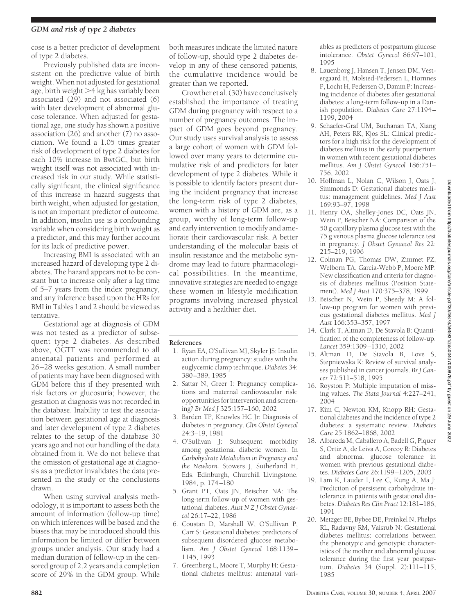## *GDM and risk of type 2 diabetes*

cose is a better predictor of development of type 2 diabetes.

Previously published data are inconsistent on the predictive value of birth weight. When not adjusted for gestational age, birth weight >4 kg has variably been associated (29) and not associated (6) with later development of abnormal glucose tolerance. When adjusted for gestational age, one study has shown a positive association (26) and another (7) no association. We found a 1.05 times greater risk of development of type 2 diabetes for each 10% increase in BwtGC, but birth weight itself was not associated with increased risk in our study. While statistically significant, the clinical significance of this increase in hazard suggests that birth weight, when adjusted for gestation, is not an important predictor of outcome. In addition, insulin use is a confounding variable when considering birth weight as a predictor, and this may further account for its lack of predictive power.

Increasing BMI is associated with an increased hazard of developing type 2 diabetes. The hazard appears not to be constant but to increase only after a lag time of 5–7 years from the index pregnancy, and any inference based upon the HRs for BMI in Tables 1 and 2 should be viewed as tentative.

Gestational age at diagnosis of GDM was not tested as a predictor of subsequent type 2 diabetes. As described above, OGTT was recommended to all antenatal patients and performed at 26–28 weeks gestation. A small number of patients may have been diagnosed with GDM before this if they presented with risk factors or glucosuria; however, the gestation at diagnosis was not recorded in the database. Inability to test the association between gestational age at diagnosis and later development of type 2 diabetes relates to the setup of the database 30 years ago and not our handling of the data obtained from it. We do not believe that the omission of gestational age at diagnosis as a predictor invalidates the data presented in the study or the conclusions drawn.

When using survival analysis methodology, it is important to assess both the amount of information (follow-up time) on which inferences will be based and the biases that may be introduced should this information be limited or differ between groups under analysis. Our study had a median duration of follow-up in the censored group of 2.2 years and a completion score of 29% in the GDM group. While

both measures indicate the limited nature of follow-up, should type 2 diabetes develop in any of these censored patients, the cumulative incidence would be greater than we reported.

Crowther et al. (30) have conclusively established the importance of treating GDM during pregnancy with respect to a number of pregnancy outcomes. The impact of GDM goes beyond pregnancy. Our study uses survival analysis to assess a large cohort of women with GDM followed over many years to determine cumulative risk of and predictors for later development of type 2 diabetes. While it is possible to identify factors present during the incident pregnancy that increase the long-term risk of type 2 diabetes, women with a history of GDM are, as a group, worthy of long-term follow-up and early intervention to modify and ameliorate their cardiovascular risk. A better understanding of the molecular basis of insulin resistance and the metabolic syndrome may lead to future pharmacological possibilities. In the meantime, innovative strategies are needed to engage these women in lifestyle modification programs involving increased physical activity and a healthier diet.

#### **References**

- 1. Ryan EA, O'Sullivan MJ, Skyler JS: Insulin action during pregnancy: studies with the euglycemic clamp technique. *Diabetes* 34: 380–389, 1985
- 2. Sattar N, Greer I: Pregnancy complications and maternal cardiovascular risk: opportunities for intervention and screening? *Br Med J* 325:157–160, 2002
- 3. Barden TP, Knowles HC Jr: Diagnosis of diabetes in pregnancy. *Clin Obstet Gynecol* 24:3–19, 1981
- 4. O'Sullivan J: Subsequent morbidity among gestational diabetic women. In *Carbohydrate Metabolism in Pregnancy and the Newborn.* Stowers J, Sutherland H, Eds. Edinburgh, Churchill Livingstone, 1984, p. 174–180
- 5. Grant PT, Oats JN, Beischer NA: The long-term follow-up of women with gestational diabetes. *Aust N Z J Obstet Gynaecol* 26:17–22, 1986
- 6. Coustan D, Marshall W, O'Sullivan P, Carr S: Gestational diabetes: predictors of subsequent disordered glucose metabolism. *Am J Obstet Gynecol* 168:1139– 1145, 1993
- 7. Greenberg L, Moore T, Murphy H: Gestational diabetes mellitus: antenatal vari-

ables as predictors of postpartum glucose intolerance. *Obstet Gynecol* 86:97–101, 1995

- 8. Lauenborg J, Hansen T, Jensen DM, Vestergaard H, Molsted-Pedersen L, Hornnes P, Locht H, Pedersen O, Damm P: Increasing incidence of diabetes after gestational diabetes: a long-term follow-up in a Danish population. *Diabetes Care* 27:1194– 1199, 2004
- 9. Schaefer-Graf UM, Buchanan TA, Xiang AH, Peters RK, Kjos SL: Clinical predictors for a high risk for the development of diabetes mellitus in the early puerperium in women with recent gestational diabetes mellitus. *Am J Obstet Gynecol* 186:751– 756, 2002
- 10. Hoffman L, Nolan C, Wilson J, Oats J, Simmonds D: Gestational diabetes mellitus: management guidelines. *Med J Aust* 169:93–97, 1998
- 11. Henry OA, Shelley-Jones DC, Oats JN, Wein P, Beischer NA: Comparison of the 50 g capillary plasma glucose test with the 75 g venous plasma glucose tolerance test in pregnancy. *J Obstet Gynaecol Res* 22: 215–219, 1996
- 12. Colman PG, Thomas DW, Zimmet PZ, Welborn TA, Garcia-Webb P, Moore MP: New classification and criteria for diagnosis of diabetes mellitus (Position Statement). *Med J Aust* 170:375–378, 1999
- 13. Beischer N, Wein P, Sheedy M: A follow-up program for women with previous gestational diabetes mellitus. *Med J Aust* 166:353–357, 1997
- 14. Clark T, Altman D, De Stavola B: Quantification of the completeness of follow-up. *Lancet* 359:1309–1310, 2002
- 15. Altman D, De Stavola B, Love S, Stepniewska K: Review of survival analyses published in cancer journals. *Br J Cancer* 72:511–518, 1995
- 16. Royston P: Multiple imputation of missing values. *The Stata Journal* 4:227–241, 2004
- 17. Kim C, Newton KM, Knopp RH: Gestational diabetes and the incidence of type 2 diabetes: a systematic review. *Diabetes Care* 25:1862–1868, 2002
- 18. Albareda M, Caballero A, Badell G, Piquer S, Ortiz A, de Leiva A, Corcoy R: Diabetes and abnormal glucose tolerance in women with previous gestational diabetes. *Diabetes Care* 26:1199–1205, 2003
- 19. Lam K, Lauder I, Lee C, Kung A, Ma J: Prediction of persistent carbohydrate intolerance in patients with gestational diabetes. *Diabetes Res Clin Pract* 12:181–186, 1991
- 20. Metzger BE, Bybee DE, Freinkel N, Phelps RL, Radavny RM, Vaisrub N: Gestational diabetes mellitus: correlations between the phenotypic and genotypic characteristics of the mother and abnormal glucose tolerance during the first year postpartum. *Diabetes* 34 (Suppl. 2):111–115, 1985